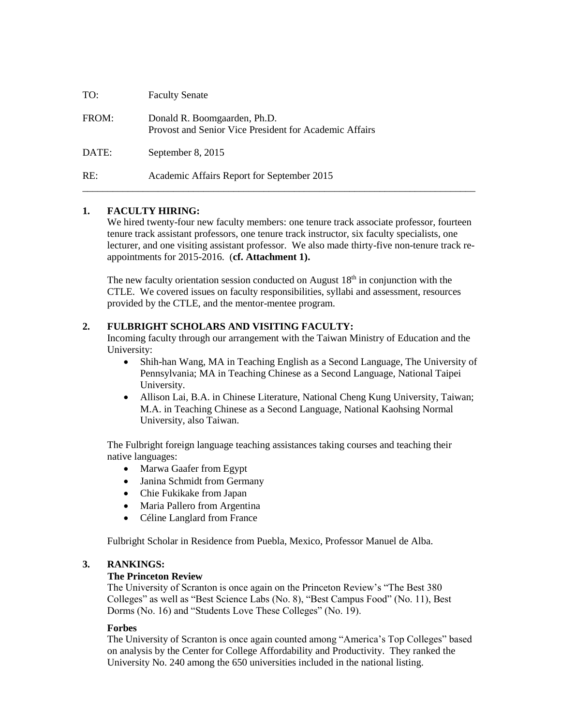| TO:   | <b>Faculty Senate</b>                                                                  |
|-------|----------------------------------------------------------------------------------------|
| FROM: | Donald R. Boomgaarden, Ph.D.<br>Provost and Senior Vice President for Academic Affairs |
| DATE: | September 8, 2015                                                                      |
| RE:   | Academic Affairs Report for September 2015                                             |

#### **1. FACULTY HIRING:**

We hired twenty-four new faculty members: one tenure track associate professor, fourteen tenure track assistant professors, one tenure track instructor, six faculty specialists, one lecturer, and one visiting assistant professor. We also made thirty-five non-tenure track reappointments for 2015-2016. (**cf. Attachment 1).**

The new faculty orientation session conducted on August  $18<sup>th</sup>$  in conjunction with the CTLE. We covered issues on faculty responsibilities, syllabi and assessment, resources provided by the CTLE, and the mentor-mentee program.

#### **2. FULBRIGHT SCHOLARS AND VISITING FACULTY:**

Incoming faculty through our arrangement with the Taiwan Ministry of Education and the University:

- Shih-han Wang, MA in Teaching English as a Second Language, The University of Pennsylvania; MA in Teaching Chinese as a Second Language, National Taipei University.
- Allison Lai, B.A. in Chinese Literature, National Cheng Kung University, Taiwan; M.A. in Teaching Chinese as a Second Language, National Kaohsing Normal University, also Taiwan.

The Fulbright foreign language teaching assistances taking courses and teaching their native languages:

- Marwa Gaafer from Egypt
- Janina Schmidt from Germany
- Chie Fukikake from Japan
- Maria Pallero from Argentina
- Céline Langlard from France

Fulbright Scholar in Residence from Puebla, Mexico, Professor Manuel de Alba.

#### **3. RANKINGS:**

#### **The Princeton Review**

The University of Scranton is once again on the Princeton Review's "The Best 380 Colleges" as well as "Best Science Labs (No. 8), "Best Campus Food" (No. 11), Best Dorms (No. 16) and "Students Love These Colleges" (No. 19).

#### **Forbes**

The University of Scranton is once again counted among "America's Top Colleges" based on analysis by the Center for College Affordability and Productivity. They ranked the University No. 240 among the 650 universities included in the national listing.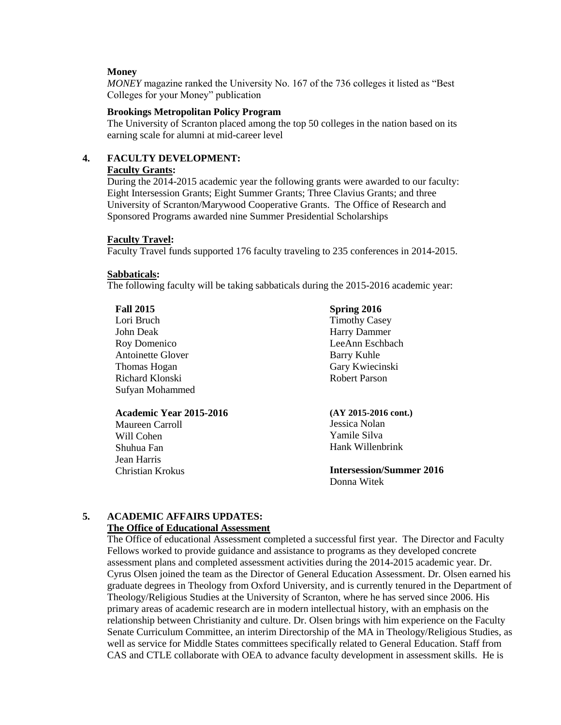#### **Money**

*MONEY* magazine ranked the University No. 167 of the 736 colleges it listed as "Best Colleges for your Money" publication

#### **Brookings Metropolitan Policy Program**

The University of Scranton placed among the top 50 colleges in the nation based on its earning scale for alumni at mid-career level

#### **4. FACULTY DEVELOPMENT: Faculty Grants:**

During the 2014-2015 academic year the following grants were awarded to our faculty: Eight Intersession Grants; Eight Summer Grants; Three Clavius Grants; and three University of Scranton/Marywood Cooperative Grants. The Office of Research and Sponsored Programs awarded nine Summer Presidential Scholarships

#### **Faculty Travel:**

Faculty Travel funds supported 176 faculty traveling to 235 conferences in 2014-2015.

#### **Sabbaticals:**

The following faculty will be taking sabbaticals during the 2015-2016 academic year:

#### **Fall 2015**

Lori Bruch John Deak Roy Domenico Antoinette Glover Thomas Hogan Richard Klonski Sufyan Mohammed

## **Academic Year 2015-2016**

Maureen Carroll Will Cohen Shuhua Fan Jean Harris Christian Krokus

#### **Spring 2016**

Timothy Casey Harry Dammer LeeAnn Eschbach Barry Kuhle Gary Kwiecinski Robert Parson

**(AY 2015-2016 cont.)** Jessica Nolan Yamile Silva Hank Willenbrink

#### **Intersession/Summer 2016** Donna Witek

# **5. ACADEMIC AFFAIRS UPDATES:**

### **The Office of Educational Assessment**

The Office of educational Assessment completed a successful first year. The Director and Faculty Fellows worked to provide guidance and assistance to programs as they developed concrete assessment plans and completed assessment activities during the 2014-2015 academic year. Dr. Cyrus Olsen joined the team as the Director of General Education Assessment. Dr. Olsen earned his graduate degrees in Theology from Oxford University, and is currently tenured in the Department of Theology/Religious Studies at the University of Scranton, where he has served since 2006. His primary areas of academic research are in modern intellectual history, with an emphasis on the relationship between Christianity and culture. Dr. Olsen brings with him experience on the Faculty Senate Curriculum Committee, an interim Directorship of the MA in Theology/Religious Studies, as well as service for Middle States committees specifically related to General Education. Staff from CAS and CTLE collaborate with OEA to advance faculty development in assessment skills. He is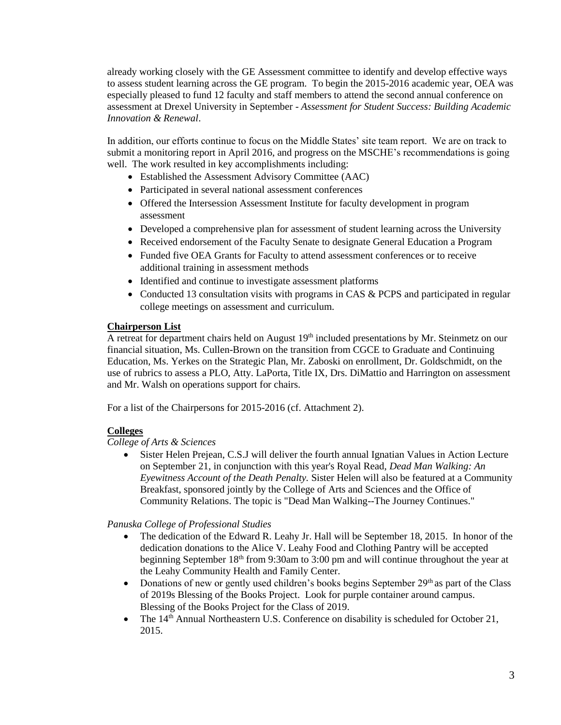already working closely with the GE Assessment committee to identify and develop effective ways to assess student learning across the GE program. To begin the 2015-2016 academic year, OEA was especially pleased to fund 12 faculty and staff members to attend the second annual conference on assessment at Drexel University in September - *Assessment for Student Success: Building Academic Innovation & Renewal*.

In addition, our efforts continue to focus on the Middle States' site team report. We are on track to submit a monitoring report in April 2016, and progress on the MSCHE's recommendations is going well. The work resulted in key accomplishments including:

- Established the Assessment Advisory Committee (AAC)
- Participated in several national assessment conferences
- Offered the Intersession Assessment Institute for faculty development in program assessment
- Developed a comprehensive plan for assessment of student learning across the University
- Received endorsement of the Faculty Senate to designate General Education a Program
- Funded five OEA Grants for Faculty to attend assessment conferences or to receive additional training in assessment methods
- Identified and continue to investigate assessment platforms
- Conducted 13 consultation visits with programs in CAS & PCPS and participated in regular college meetings on assessment and curriculum.

#### **Chairperson List**

A retreat for department chairs held on August  $19<sup>th</sup>$  included presentations by Mr. Steinmetz on our financial situation, Ms. Cullen-Brown on the transition from CGCE to Graduate and Continuing Education, Ms. Yerkes on the Strategic Plan, Mr. Zaboski on enrollment, Dr. Goldschmidt, on the use of rubrics to assess a PLO, Atty. LaPorta, Title IX, Drs. DiMattio and Harrington on assessment and Mr. Walsh on operations support for chairs.

For a list of the Chairpersons for 2015-2016 (cf. Attachment 2).

#### **Colleges**

#### *College of Arts & Sciences*

 Sister Helen Prejean, C.S.J will deliver the fourth annual Ignatian Values in Action Lecture on September 21, in conjunction with this year's Royal Read, *Dead Man Walking: An Eyewitness Account of the Death Penalty.* Sister Helen will also be featured at a Community Breakfast, sponsored jointly by the College of Arts and Sciences and the Office of Community Relations. The topic is "Dead Man Walking--The Journey Continues."

#### *Panuska College of Professional Studies*

- The dedication of the Edward R. Leahy Jr. Hall will be September 18, 2015. In honor of the dedication donations to the Alice V. Leahy Food and Clothing Pantry will be accepted beginning September 18<sup>th</sup> from 9:30am to 3:00 pm and will continue throughout the year at the Leahy Community Health and Family Center.
- Donations of new or gently used children's books begins September  $29<sup>th</sup>$  as part of the Class of 2019s Blessing of the Books Project. Look for purple container around campus. Blessing of the Books Project for the Class of 2019.
- The 14<sup>th</sup> Annual Northeastern U.S. Conference on disability is scheduled for October 21, 2015.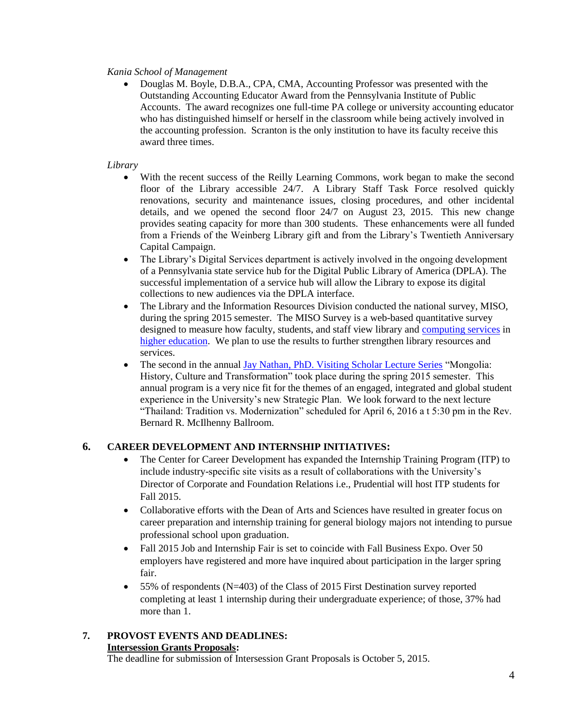#### *Kania School of Management*

 Douglas M. Boyle, D.B.A., CPA, CMA, Accounting Professor was presented with the Outstanding Accounting Educator Award from the Pennsylvania Institute of Public Accounts. The award recognizes one full-time PA college or university accounting educator who has distinguished himself or herself in the classroom while being actively involved in the accounting profession. Scranton is the only institution to have its faculty receive this award three times.

#### *Library*

- With the recent success of the Reilly Learning Commons, work began to make the second floor of the Library accessible 24/7. A Library Staff Task Force resolved quickly renovations, security and maintenance issues, closing procedures, and other incidental details, and we opened the second floor 24/7 on August 23, 2015. This new change provides seating capacity for more than 300 students. These enhancements were all funded from a Friends of the Weinberg Library gift and from the Library's Twentieth Anniversary Capital Campaign.
- The Library's Digital Services department is actively involved in the ongoing development of a Pennsylvania state service hub for the Digital Public Library of America (DPLA). The successful implementation of a service hub will allow the Library to expose its digital collections to new audiences via the DPLA interface.
- The Library and the Information Resources Division conducted the national survey, MISO, during the spring 2015 semester. The MISO Survey is a web-based quantitative survey designed to measure how faculty, students, and staff view library and [computing services](http://www.misosurvey.org/) in [higher education.](http://www.misosurvey.org/) We plan to use the results to further strengthen library resources and services.
- The second in the annual [Jay Nathan, PhD. Visiting Scholar Lecture Series](http://www.scranton.edu/academics/wml/events-and-programs/jay-nathan/index.shtml) "Mongolia: History, Culture and Transformation" took place during the spring 2015 semester. This annual program is a very nice fit for the themes of an engaged, integrated and global student experience in the University's new Strategic Plan. We look forward to the next lecture "Thailand: Tradition vs. Modernization" scheduled for April 6, 2016 a t 5:30 pm in the Rev. Bernard R. McIlhenny Ballroom.

#### **6. CAREER DEVELOPMENT AND INTERNSHIP INITIATIVES:**

- The Center for Career Development has expanded the Internship Training Program (ITP) to include industry-specific site visits as a result of collaborations with the University's Director of Corporate and Foundation Relations i.e., Prudential will host ITP students for Fall 2015.
- Collaborative efforts with the Dean of Arts and Sciences have resulted in greater focus on career preparation and internship training for general biology majors not intending to pursue professional school upon graduation.
- Fall 2015 Job and Internship Fair is set to coincide with Fall Business Expo. Over 50 employers have registered and more have inquired about participation in the larger spring fair.
- 55% of respondents (N=403) of the Class of 2015 First Destination survey reported completing at least 1 internship during their undergraduate experience; of those, 37% had more than 1

# **7. PROVOST EVENTS AND DEADLINES:**

## **Intersession Grants Proposals:**

The deadline for submission of Intersession Grant Proposals is October 5, 2015.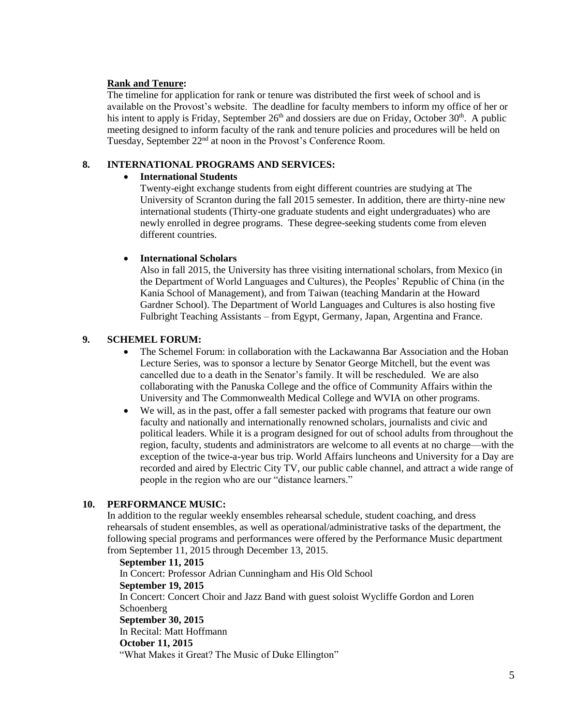#### **Rank and Tenure:**

The timeline for application for rank or tenure was distributed the first week of school and is available on the Provost's website. The deadline for faculty members to inform my office of her or his intent to apply is Friday, September  $26<sup>th</sup>$  and dossiers are due on Friday, October  $30<sup>th</sup>$ . A public meeting designed to inform faculty of the rank and tenure policies and procedures will be held on Tuesday, September 22<sup>nd</sup> at noon in the Provost's Conference Room.

#### **8. INTERNATIONAL PROGRAMS AND SERVICES:**

#### **International Students**

Twenty-eight exchange students from eight different countries are studying at The University of Scranton during the fall 2015 semester. In addition, there are thirty-nine new international students (Thirty-one graduate students and eight undergraduates) who are newly enrolled in degree programs. These degree-seeking students come from eleven different countries.

#### **International Scholars**

Also in fall 2015, the University has three visiting international scholars, from Mexico (in the Department of World Languages and Cultures), the Peoples' Republic of China (in the Kania School of Management), and from Taiwan (teaching Mandarin at the Howard Gardner School). The Department of World Languages and Cultures is also hosting five Fulbright Teaching Assistants – from Egypt, Germany, Japan, Argentina and France.

#### **9. SCHEMEL FORUM:**

- The Schemel Forum: in collaboration with the Lackawanna Bar Association and the Hoban Lecture Series, was to sponsor a lecture by Senator George Mitchell, but the event was cancelled due to a death in the Senator's family. It will be rescheduled. We are also collaborating with the Panuska College and the office of Community Affairs within the University and The Commonwealth Medical College and WVIA on other programs.
- We will, as in the past, offer a fall semester packed with programs that feature our own faculty and nationally and internationally renowned scholars, journalists and civic and political leaders. While it is a program designed for out of school adults from throughout the region, faculty, students and administrators are welcome to all events at no charge—with the exception of the twice-a-year bus trip. World Affairs luncheons and University for a Day are recorded and aired by Electric City TV, our public cable channel, and attract a wide range of people in the region who are our "distance learners."

#### **10. PERFORMANCE MUSIC:**

In addition to the regular weekly ensembles rehearsal schedule, student coaching, and dress rehearsals of student ensembles, as well as operational/administrative tasks of the department, the following special programs and performances were offered by the Performance Music department from September 11, 2015 through December 13, 2015.

**September 11, 2015** In Concert: Professor Adrian Cunningham and His Old School **September 19, 2015** In Concert: Concert Choir and Jazz Band with guest soloist Wycliffe Gordon and Loren Schoenberg **September 30, 2015** In Recital: Matt Hoffmann **October 11, 2015** "What Makes it Great? The Music of Duke Ellington"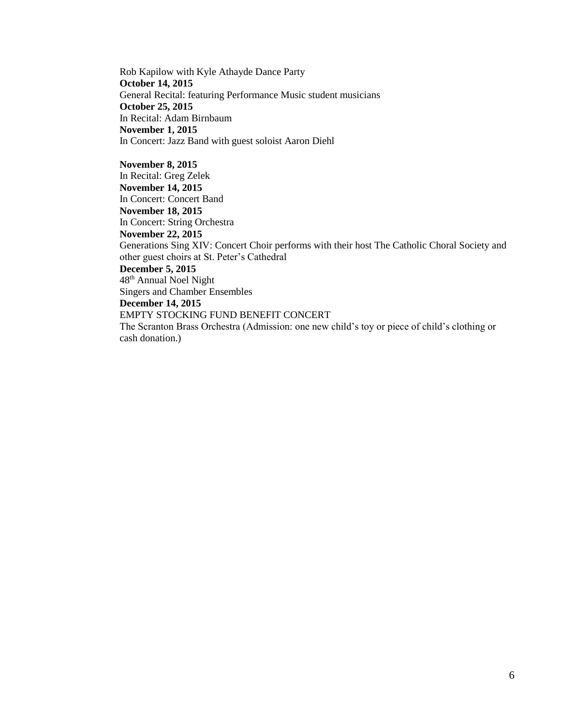Rob Kapilow with Kyle Athayde Dance Party **October 14, 2015** General Recital: featuring Performance Music student musicians **October 25, 2015** In Recital: Adam Birnbaum **November 1, 2015** In Concert: Jazz Band with guest soloist Aaron Diehl

**November 8, 2015**

In Recital: Greg Zelek **November 14, 2015**

In Concert: Concert Band

**November 18, 2015**

In Concert: String Orchestra

**November 22, 2015**

Generations Sing XIV: Concert Choir performs with their host The Catholic Choral Society and other guest choirs at St. Peter's Cathedral

#### **December 5, 2015**

48th Annual Noel Night Singers and Chamber Ensembles

**December 14, 2015**

EMPTY STOCKING FUND BENEFIT CONCERT

The Scranton Brass Orchestra (Admission: one new child's toy or piece of child's clothing or cash donation.)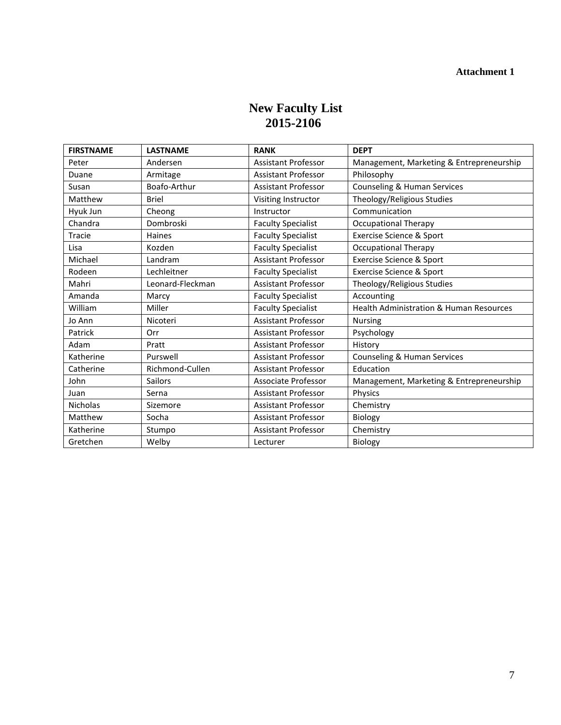# **New Faculty List 2015-2106**

| <b>FIRSTNAME</b> | <b>LASTNAME</b>  | <b>RANK</b>                | <b>DEPT</b>                              |
|------------------|------------------|----------------------------|------------------------------------------|
| Peter            | Andersen         | <b>Assistant Professor</b> | Management, Marketing & Entrepreneurship |
| Duane            | Armitage         | <b>Assistant Professor</b> | Philosophy                               |
| Susan            | Boafo-Arthur     | <b>Assistant Professor</b> | Counseling & Human Services              |
| Matthew          | <b>Briel</b>     | Visiting Instructor        | Theology/Religious Studies               |
| Hyuk Jun         | Cheong           | Instructor                 | Communication                            |
| Chandra          | Dombroski        | <b>Faculty Specialist</b>  | <b>Occupational Therapy</b>              |
| Tracie           | <b>Haines</b>    | <b>Faculty Specialist</b>  | Exercise Science & Sport                 |
| Lisa             | Kozden           | <b>Faculty Specialist</b>  | <b>Occupational Therapy</b>              |
| Michael          | Landram          | <b>Assistant Professor</b> | Exercise Science & Sport                 |
| Rodeen           | Lechleitner      | <b>Faculty Specialist</b>  | Exercise Science & Sport                 |
| Mahri            | Leonard-Fleckman | <b>Assistant Professor</b> | Theology/Religious Studies               |
| Amanda           | Marcy            | <b>Faculty Specialist</b>  | Accounting                               |
| William          | Miller           | <b>Faculty Specialist</b>  | Health Administration & Human Resources  |
| Jo Ann           | Nicoteri         | <b>Assistant Professor</b> | <b>Nursing</b>                           |
| Patrick          | Orr              | <b>Assistant Professor</b> | Psychology                               |
| Adam             | Pratt            | <b>Assistant Professor</b> | History                                  |
| Katherine        | Purswell         | <b>Assistant Professor</b> | Counseling & Human Services              |
| Catherine        | Richmond-Cullen  | <b>Assistant Professor</b> | Education                                |
| John             | <b>Sailors</b>   | Associate Professor        | Management, Marketing & Entrepreneurship |
| Juan             | Serna            | <b>Assistant Professor</b> | Physics                                  |
| <b>Nicholas</b>  | Sizemore         | <b>Assistant Professor</b> | Chemistry                                |
| Matthew          | Socha            | <b>Assistant Professor</b> | Biology                                  |
| Katherine        | Stumpo           | <b>Assistant Professor</b> | Chemistry                                |
| Gretchen         | Welby            | Lecturer                   | Biology                                  |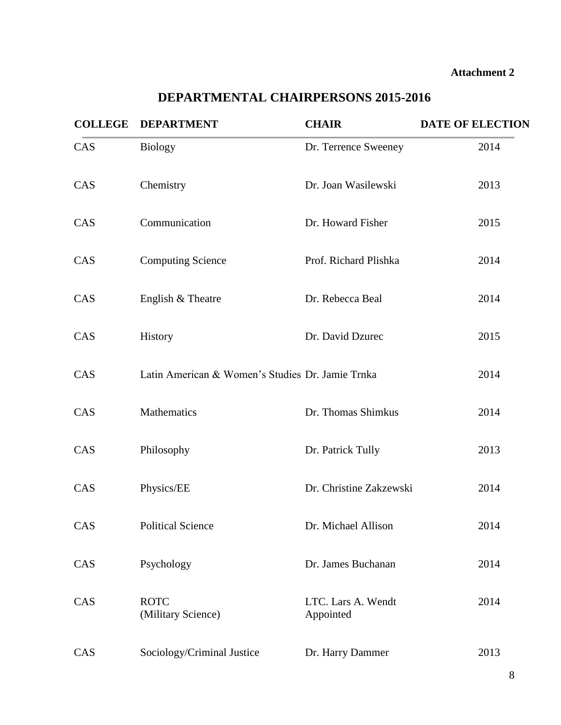#### **Attachment 2**

# **COLLEGE DEPARTMENT CHAIR DATE OF ELECTION**  CAS Biology Dr. Terrence Sweeney 2014 CAS Chemistry Dr. Joan Wasilewski 2013 CAS Communication Dr. Howard Fisher 2015 CAS Computing Science Prof. Richard Plishka 2014 CAS English & Theatre Dr. Rebecca Beal 2014 CAS History Dr. David Dzurec 2015 CAS Latin American & Women's Studies Dr. Jamie Trnka 2014 CAS Mathematics Dr. Thomas Shimkus 2014 CAS Philosophy Dr. Patrick Tully 2013 CAS Physics/EE Dr. Christine Zakzewski 2014 CAS Political Science Dr. Michael Allison 2014 CAS Psychology Dr. James Buchanan 2014 CAS ROTC Lars A. Wendt 2014 (Military Science) Appointed

# **DEPARTMENTAL CHAIRPERSONS 2015-2016**